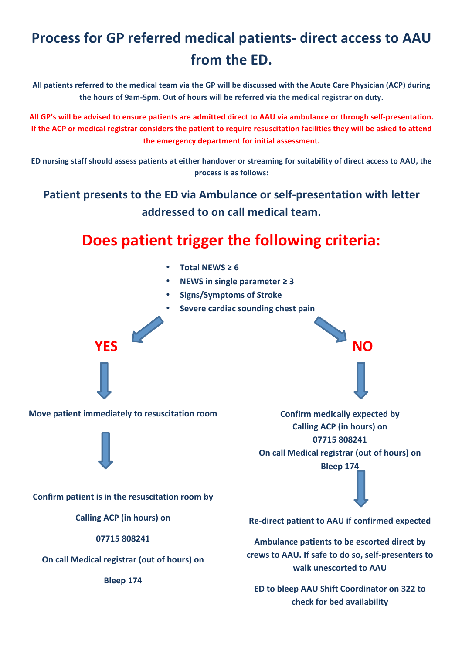## **Process for GP referred medical patients- direct access to AAU** from the **ED**

All patients referred to the medical team via the GP will be discussed with the Acute Care Physician (ACP) during the hours of 9am-5pm. Out of hours will be referred via the medical registrar on duty.

All GP's will be advised to ensure patients are admitted direct to AAU via ambulance or through self-presentation. If the ACP or medical registrar considers the patient to require resuscitation facilities they will be asked to attend the emergency department for initial assessment.

ED nursing staff should assess patients at either handover or streaming for suitability of direct access to AAU, the process is as follows:

**Patient presents to the ED via Ambulance or self-presentation with letter** addressed to on call medical team.

## **Does patient trigger the following criteria:**